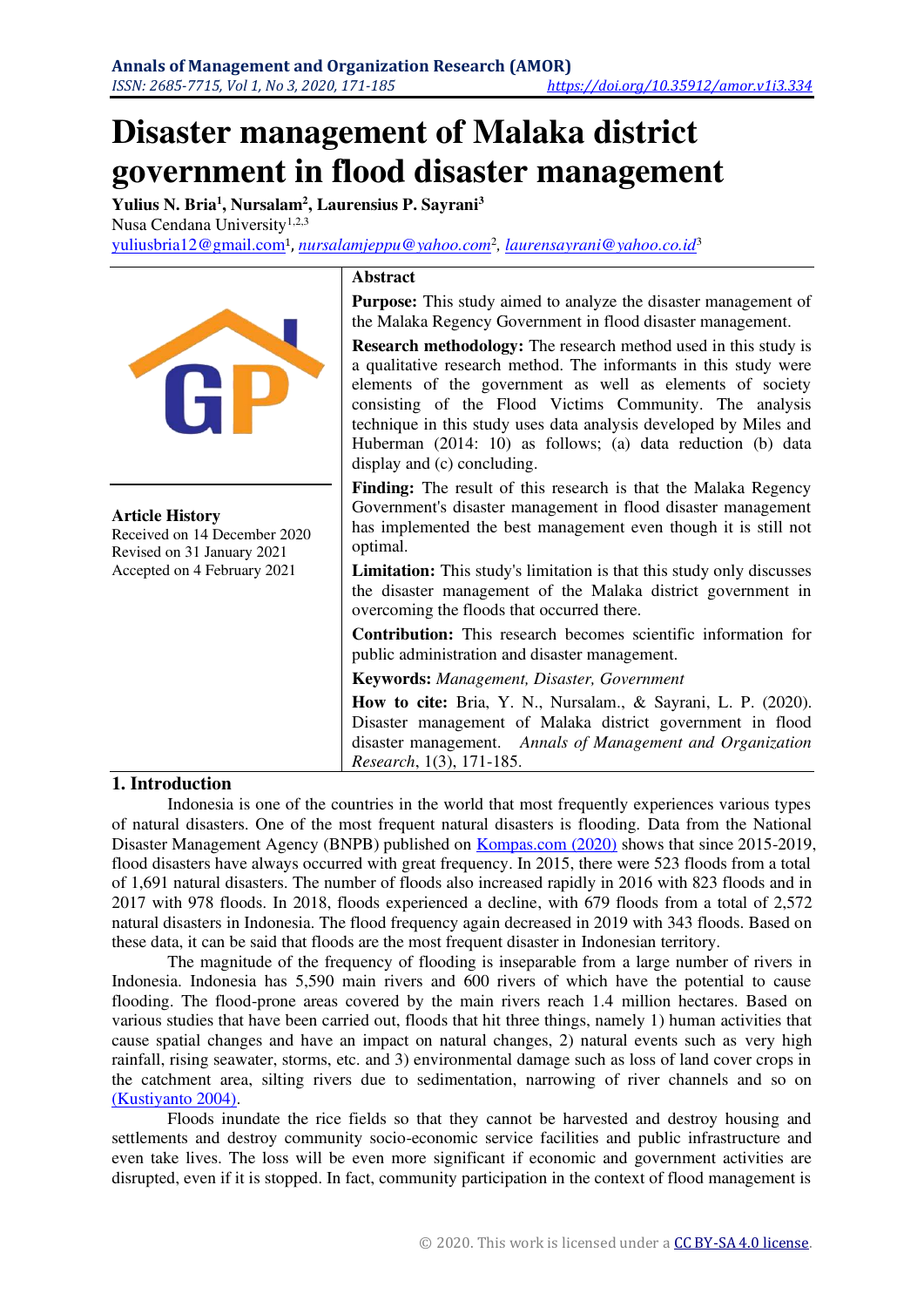# **Disaster management of Malaka district government in flood disaster management**

**Yulius N. Bria<sup>1</sup> , Nursalam<sup>2</sup> , Laurensius P. Sayrani<sup>3</sup>** Nusa Cendana University<sup>1,2,3</sup> [yuliusbria12@gmail.com](mailto:yuliusbria12@gmail.com1)<sup>1</sup>, *[nursalamjeppu@yahoo.com](mailto:nursalamjeppu@yahoo.com2)*<sup>2</sup> *[, laurensayrani@yahoo.co.id](mailto:laurensayrani@yahoo.co.id3)*<sup>3</sup>



**Article History** 

Received on 14 December 2020 Revised on 31 January 2021 Accepted on 4 February 2021

#### **Abstract**

Purpose: This study aimed to analyze the disaster management of the Malaka Regency Government in flood disaster management.

**Research methodology:** The research method used in this study is a qualitative research method. The informants in this study were elements of the government as well as elements of society consisting of the Flood Victims Community. The analysis technique in this study uses data analysis developed by Miles and Huberman (2014: 10) as follows; (a) data reduction (b) data display and (c) concluding.

**Finding:** The result of this research is that the Malaka Regency Government's disaster management in flood disaster management has implemented the best management even though it is still not optimal.

**Limitation:** This study's limitation is that this study only discusses the disaster management of the Malaka district government in overcoming the floods that occurred there.

**Contribution:** This research becomes scientific information for public administration and disaster management.

**Keywords:** *Management, Disaster, Government* 

**How to cite:** Bria, Y. N., Nursalam., & Sayrani, L. P. (2020). Disaster management of Malaka district government in flood disaster management. *Annals of Management and Organization Research*, 1(3), 171-185.

#### **1. Introduction**

Indonesia is one of the countries in the world that most frequently experiences various types of natural disasters. One of the most frequent natural disasters is flooding. Data from the National Disaster Management Agency (BNPB) published on [Kompas.com \(2020\)](#page-13-0) shows that since 2015-2019, flood disasters have always occurred with great frequency. In 2015, there were 523 floods from a total of 1,691 natural disasters. The number of floods also increased rapidly in 2016 with 823 floods and in 2017 with 978 floods. In 2018, floods experienced a decline, with 679 floods from a total of 2,572 natural disasters in Indonesia. The flood frequency again decreased in 2019 with 343 floods. Based on these data, it can be said that floods are the most frequent disaster in Indonesian territory.

The magnitude of the frequency of flooding is inseparable from a large number of rivers in Indonesia. Indonesia has 5,590 main rivers and 600 rivers of which have the potential to cause flooding. The flood-prone areas covered by the main rivers reach 1.4 million hectares. Based on various studies that have been carried out, floods that hit three things, namely 1) human activities that cause spatial changes and have an impact on natural changes, 2) natural events such as very high rainfall, rising seawater, storms, etc. and 3) environmental damage such as loss of land cover crops in the catchment area, silting rivers due to sedimentation, narrowing of river channels and so on [\(Kustiyanto 2004\).](#page-13-1)

Floods inundate the rice fields so that they cannot be harvested and destroy housing and settlements and destroy community socio-economic service facilities and public infrastructure and even take lives. The loss will be even more significant if economic and government activities are disrupted, even if it is stopped. In fact, community participation in the context of flood management is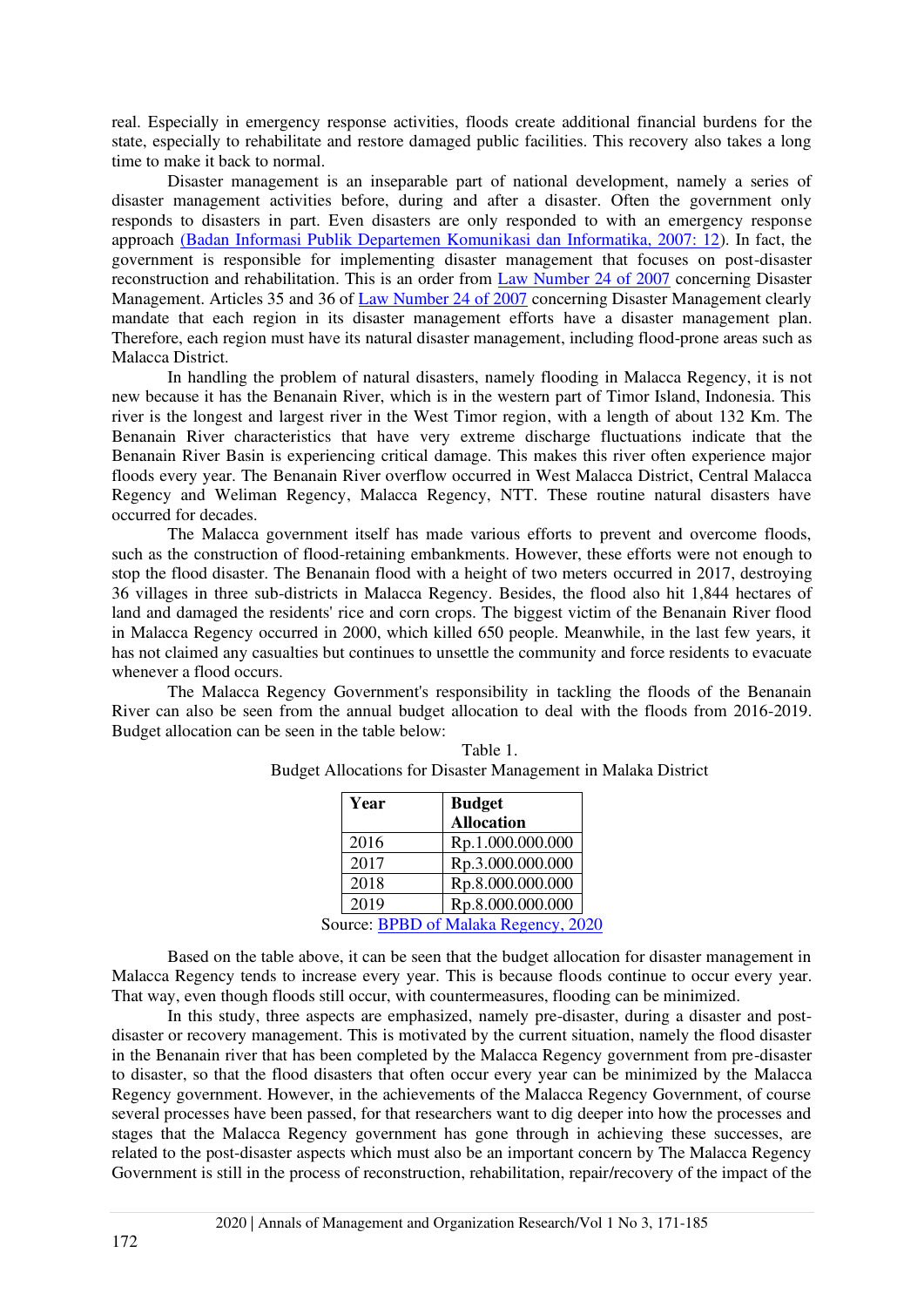real. Especially in emergency response activities, floods create additional financial burdens for the state, especially to rehabilitate and restore damaged public facilities. This recovery also takes a long time to make it back to normal.

Disaster management is an inseparable part of national development, namely a series of disaster management activities before, during and after a disaster. Often the government only responds to disasters in part. Even disasters are only responded to with an emergency response approach [\(Badan Informasi Publik Departemen Komunikasi dan Informatika, 2007: 12\)](#page-13-2). In fact, the government is responsible for implementing disaster management that focuses on post-disaster reconstruction and rehabilitation. This is an order from [Law Number 24 of 2007](#page-14-0) concerning Disaster Management. Articles 35 and 36 of [Law Number 24 of 2007](#page-14-0) concerning Disaster Management clearly mandate that each region in its disaster management efforts have a disaster management plan. Therefore, each region must have its natural disaster management, including flood-prone areas such as Malacca District.

In handling the problem of natural disasters, namely flooding in Malacca Regency, it is not new because it has the Benanain River, which is in the western part of Timor Island, Indonesia. This river is the longest and largest river in the West Timor region, with a length of about 132 Km. The Benanain River characteristics that have very extreme discharge fluctuations indicate that the Benanain River Basin is experiencing critical damage. This makes this river often experience major floods every year. The Benanain River overflow occurred in West Malacca District, Central Malacca Regency and Weliman Regency, Malacca Regency, NTT. These routine natural disasters have occurred for decades.

The Malacca government itself has made various efforts to prevent and overcome floods, such as the construction of flood-retaining embankments. However, these efforts were not enough to stop the flood disaster. The Benanain flood with a height of two meters occurred in 2017, destroying 36 villages in three sub-districts in Malacca Regency. Besides, the flood also hit 1,844 hectares of land and damaged the residents' rice and corn crops. The biggest victim of the Benanain River flood in Malacca Regency occurred in 2000, which killed 650 people. Meanwhile, in the last few years, it has not claimed any casualties but continues to unsettle the community and force residents to evacuate whenever a flood occurs.

The Malacca Regency Government's responsibility in tackling the floods of the Benanain River can also be seen from the annual budget allocation to deal with the floods from 2016-2019. Budget allocation can be seen in the table below:

| Year | <b>Budget</b>                        |  |
|------|--------------------------------------|--|
|      | <b>Allocation</b>                    |  |
| 2016 | Rp.1.000.000.000                     |  |
| 2017 | Rp.3.000.000.000                     |  |
| 2018 | Rp.8.000.000.000                     |  |
| 2019 | Rp.8.000.000.000                     |  |
|      | Source: BPBD of Malaka Regency, 2020 |  |

Table 1. Budget Allocations for Disaster Management in Malaka District

Based on the table above, it can be seen that the budget allocation for disaster management in Malacca Regency tends to increase every year. This is because floods continue to occur every year. That way, even though floods still occur, with countermeasures, flooding can be minimized.

In this study, three aspects are emphasized, namely pre-disaster, during a disaster and postdisaster or recovery management. This is motivated by the current situation, namely the flood disaster in the Benanain river that has been completed by the Malacca Regency government from pre-disaster to disaster, so that the flood disasters that often occur every year can be minimized by the Malacca Regency government. However, in the achievements of the Malacca Regency Government, of course several processes have been passed, for that researchers want to dig deeper into how the processes and stages that the Malacca Regency government has gone through in achieving these successes, are related to the post-disaster aspects which must also be an important concern by The Malacca Regency Government is still in the process of reconstruction, rehabilitation, repair/recovery of the impact of the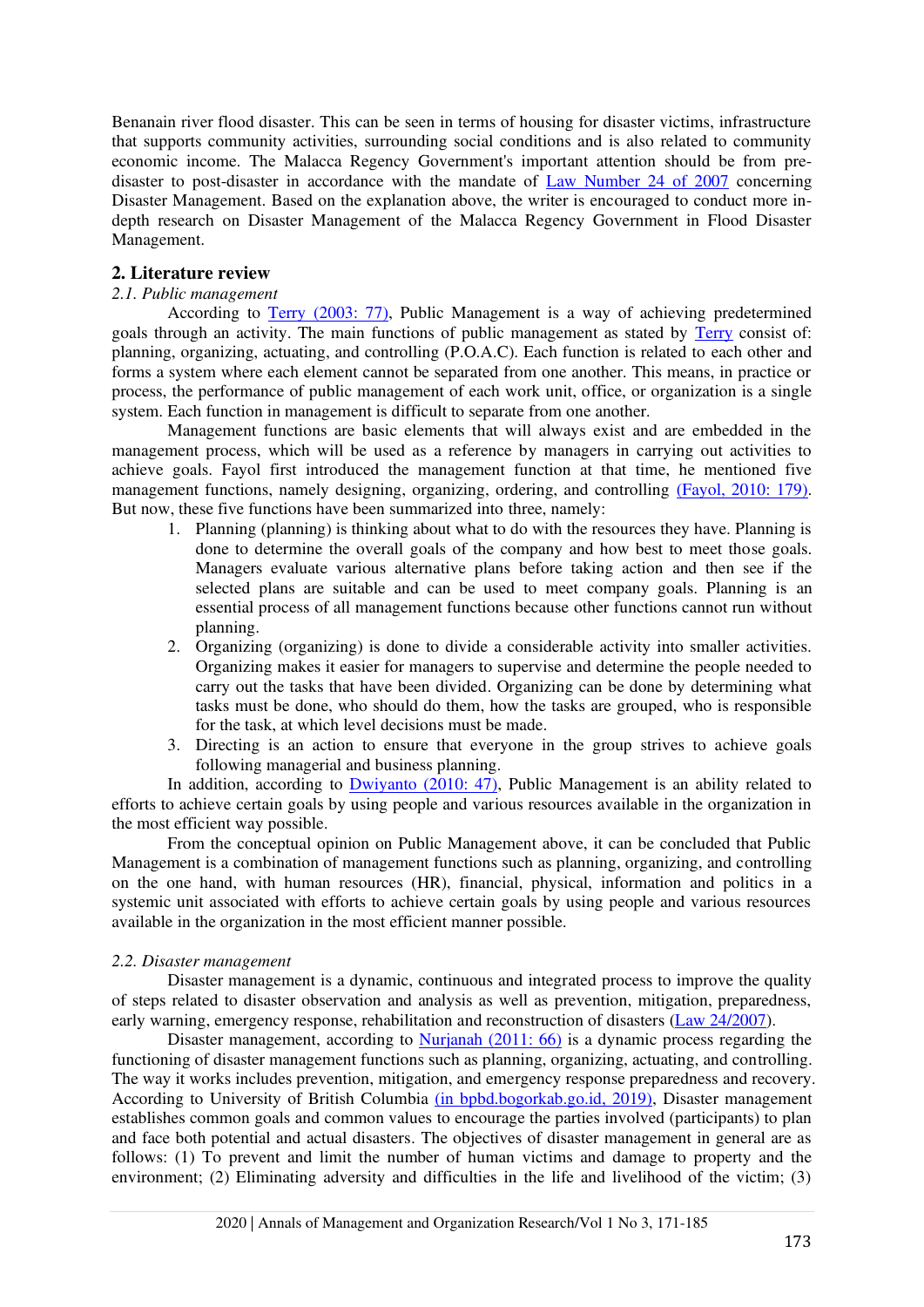Benanain river flood disaster. This can be seen in terms of housing for disaster victims, infrastructure that supports community activities, surrounding social conditions and is also related to community economic income. The Malacca Regency Government's important attention should be from predisaster to post-disaster in accordance with the mandate of [Law Number 24 of 2007](#page-14-0) concerning Disaster Management. Based on the explanation above, the writer is encouraged to conduct more indepth research on Disaster Management of the Malacca Regency Government in Flood Disaster Management.

### **2. Literature review**

#### *2.1. Public management*

According to [Terry \(2003: 77\),](#page-13-4) Public Management is a way of achieving predetermined goals through an activity. The main functions of public management as stated by [Terry](#page-13-4) consist of: planning, organizing, actuating, and controlling (P.O.A.C). Each function is related to each other and forms a system where each element cannot be separated from one another. This means, in practice or process, the performance of public management of each work unit, office, or organization is a single system. Each function in management is difficult to separate from one another.

Management functions are basic elements that will always exist and are embedded in the management process, which will be used as a reference by managers in carrying out activities to achieve goals. Fayol first introduced the management function at that time, he mentioned five management functions, namely designing, organizing, ordering, and controlling [\(Fayol, 2010: 179\).](#page-13-5) But now, these five functions have been summarized into three, namely:

- 1. Planning (planning) is thinking about what to do with the resources they have. Planning is done to determine the overall goals of the company and how best to meet those goals. Managers evaluate various alternative plans before taking action and then see if the selected plans are suitable and can be used to meet company goals. Planning is an essential process of all management functions because other functions cannot run without planning.
- 2. Organizing (organizing) is done to divide a considerable activity into smaller activities. Organizing makes it easier for managers to supervise and determine the people needed to carry out the tasks that have been divided. Organizing can be done by determining what tasks must be done, who should do them, how the tasks are grouped, who is responsible for the task, at which level decisions must be made.
- 3. Directing is an action to ensure that everyone in the group strives to achieve goals following managerial and business planning.

In addition, according to  $\frac{Dwiyanto(2010: 47)}{2010: 47}$ , Public Management is an ability related to efforts to achieve certain goals by using people and various resources available in the organization in the most efficient way possible.

From the conceptual opinion on Public Management above, it can be concluded that Public Management is a combination of management functions such as planning, organizing, and controlling on the one hand, with human resources (HR), financial, physical, information and politics in a systemic unit associated with efforts to achieve certain goals by using people and various resources available in the organization in the most efficient manner possible.

#### *2.2. Disaster management*

Disaster management is a dynamic, continuous and integrated process to improve the quality of steps related to disaster observation and analysis as well as prevention, mitigation, preparedness, early warning, emergency response, rehabilitation and reconstruction of disasters [\(Law 24/2007\)](#page-14-0).

Disaster management, according to [Nurjanah \(2011: 66\)](#page-13-7) is a dynamic process regarding the functioning of disaster management functions such as planning, organizing, actuating, and controlling. The way it works includes prevention, mitigation, and emergency response preparedness and recovery. According to University of British Columbia [\(in bpbd.bogorkab.go.id, 2019\),](#page-13-6) Disaster management establishes common goals and common values to encourage the parties involved (participants) to plan and face both potential and actual disasters. The objectives of disaster management in general are as follows: (1) To prevent and limit the number of human victims and damage to property and the environment; (2) Eliminating adversity and difficulties in the life and livelihood of the victim; (3)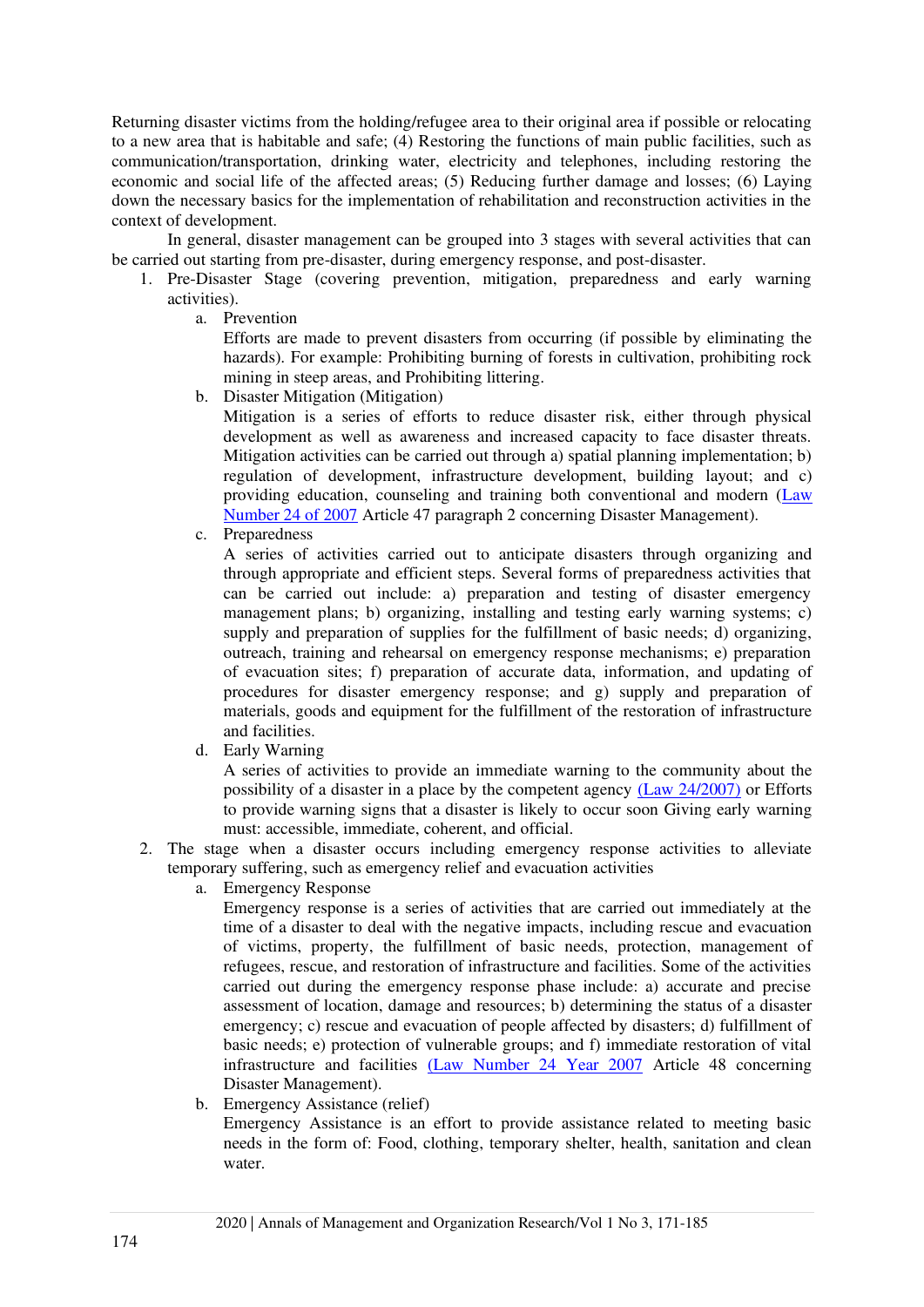Returning disaster victims from the holding/refugee area to their original area if possible or relocating to a new area that is habitable and safe; (4) Restoring the functions of main public facilities, such as communication/transportation, drinking water, electricity and telephones, including restoring the economic and social life of the affected areas; (5) Reducing further damage and losses; (6) Laying down the necessary basics for the implementation of rehabilitation and reconstruction activities in the context of development.

In general, disaster management can be grouped into 3 stages with several activities that can be carried out starting from pre-disaster, during emergency response, and post-disaster.

- 1. Pre-Disaster Stage (covering prevention, mitigation, preparedness and early warning activities).
	- a. Prevention

Efforts are made to prevent disasters from occurring (if possible by eliminating the hazards). For example: Prohibiting burning of forests in cultivation, prohibiting rock mining in steep areas, and Prohibiting littering.

b. Disaster Mitigation (Mitigation)

Mitigation is a series of efforts to reduce disaster risk, either through physical development as well as awareness and increased capacity to face disaster threats. Mitigation activities can be carried out through a) spatial planning implementation; b) regulation of development, infrastructure development, building layout; and c) providing education, counseling and training both conventional and modern [\(Law](#page-14-0)  [Number 24 of 2007](#page-14-0) Article 47 paragraph 2 concerning Disaster Management).

c. Preparedness

A series of activities carried out to anticipate disasters through organizing and through appropriate and efficient steps. Several forms of preparedness activities that can be carried out include: a) preparation and testing of disaster emergency management plans; b) organizing, installing and testing early warning systems; c) supply and preparation of supplies for the fulfillment of basic needs; d) organizing, outreach, training and rehearsal on emergency response mechanisms; e) preparation of evacuation sites; f) preparation of accurate data, information, and updating of procedures for disaster emergency response; and g) supply and preparation of materials, goods and equipment for the fulfillment of the restoration of infrastructure and facilities.

d. Early Warning

A series of activities to provide an immediate warning to the community about the possibility of a disaster in a place by the competent agency [\(Law 24/2007\)](#page-14-0) or Efforts to provide warning signs that a disaster is likely to occur soon Giving early warning must: accessible, immediate, coherent, and official.

- 2. The stage when a disaster occurs including emergency response activities to alleviate temporary suffering, such as emergency relief and evacuation activities
	- a. Emergency Response

Emergency response is a series of activities that are carried out immediately at the time of a disaster to deal with the negative impacts, including rescue and evacuation of victims, property, the fulfillment of basic needs, protection, management of refugees, rescue, and restoration of infrastructure and facilities. Some of the activities carried out during the emergency response phase include: a) accurate and precise assessment of location, damage and resources; b) determining the status of a disaster emergency; c) rescue and evacuation of people affected by disasters; d) fulfillment of basic needs; e) protection of vulnerable groups; and f) immediate restoration of vital infrastructure and facilities [\(Law Number 24 Year 2007](#page-14-0) Article 48 concerning Disaster Management).

b. Emergency Assistance (relief)

Emergency Assistance is an effort to provide assistance related to meeting basic needs in the form of: Food, clothing, temporary shelter, health, sanitation and clean water.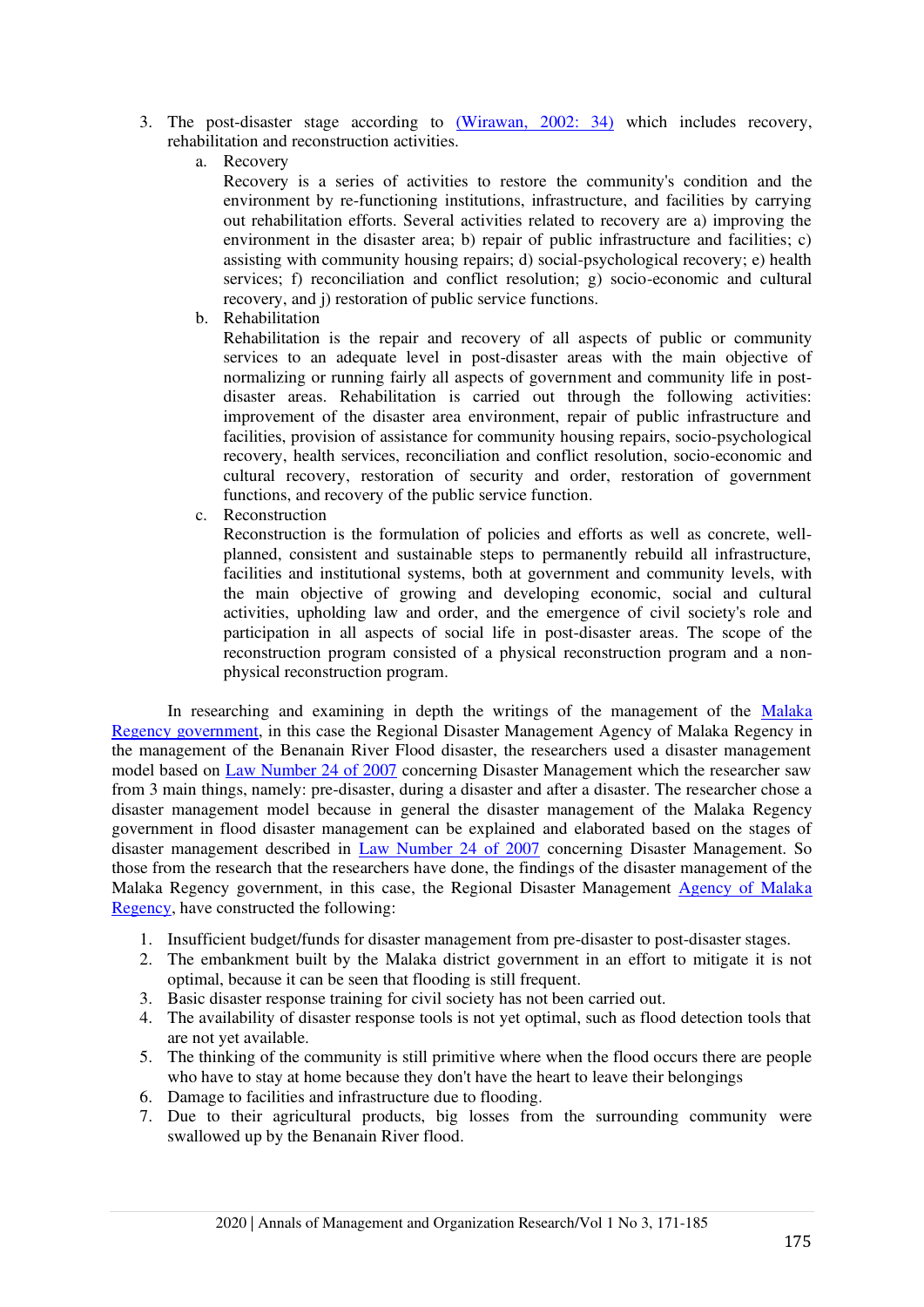- 3. The post-disaster stage according to [\(Wirawan, 2002: 34\)](#page-13-8) which includes recovery, rehabilitation and reconstruction activities.
	- a. Recovery

Recovery is a series of activities to restore the community's condition and the environment by re-functioning institutions, infrastructure, and facilities by carrying out rehabilitation efforts. Several activities related to recovery are a) improving the environment in the disaster area; b) repair of public infrastructure and facilities; c) assisting with community housing repairs; d) social-psychological recovery; e) health services; f) reconciliation and conflict resolution; g) socio-economic and cultural recovery, and j) restoration of public service functions.

b. Rehabilitation

Rehabilitation is the repair and recovery of all aspects of public or community services to an adequate level in post-disaster areas with the main objective of normalizing or running fairly all aspects of government and community life in postdisaster areas. Rehabilitation is carried out through the following activities: improvement of the disaster area environment, repair of public infrastructure and facilities, provision of assistance for community housing repairs, socio-psychological recovery, health services, reconciliation and conflict resolution, socio-economic and cultural recovery, restoration of security and order, restoration of government functions, and recovery of the public service function.

c. Reconstruction

Reconstruction is the formulation of policies and efforts as well as concrete, wellplanned, consistent and sustainable steps to permanently rebuild all infrastructure, facilities and institutional systems, both at government and community levels, with the main objective of growing and developing economic, social and cultural activities, upholding law and order, and the emergence of civil society's role and participation in all aspects of social life in post-disaster areas. The scope of the reconstruction program consisted of a physical reconstruction program and a nonphysical reconstruction program.

In researching and examining in depth the writings of the management of the Malaka [Regency government,](#page-14-1) in this case the Regional Disaster Management Agency of Malaka Regency in the management of the Benanain River Flood disaster, the researchers used a disaster management model based on [Law Number 24 of 2007](#page-14-0) concerning Disaster Management which the researcher saw from 3 main things, namely: pre-disaster, during a disaster and after a disaster. The researcher chose a disaster management model because in general the disaster management of the Malaka Regency government in flood disaster management can be explained and elaborated based on the stages of disaster management described in [Law Number 24 of 2007](#page-14-0) concerning Disaster Management. So those from the research that the researchers have done, the findings of the disaster management of the Malaka Regency government, in this case, the Regional Disaster Management [Agency of Malaka](#page-14-1)  [Regency,](#page-14-1) have constructed the following:

- 1. Insufficient budget/funds for disaster management from pre-disaster to post-disaster stages.
- 2. The embankment built by the Malaka district government in an effort to mitigate it is not optimal, because it can be seen that flooding is still frequent.
- 3. Basic disaster response training for civil society has not been carried out.
- 4. The availability of disaster response tools is not yet optimal, such as flood detection tools that are not yet available.
- 5. The thinking of the community is still primitive where when the flood occurs there are people who have to stay at home because they don't have the heart to leave their belongings
- 6. Damage to facilities and infrastructure due to flooding.
- 7. Due to their agricultural products, big losses from the surrounding community were swallowed up by the Benanain River flood.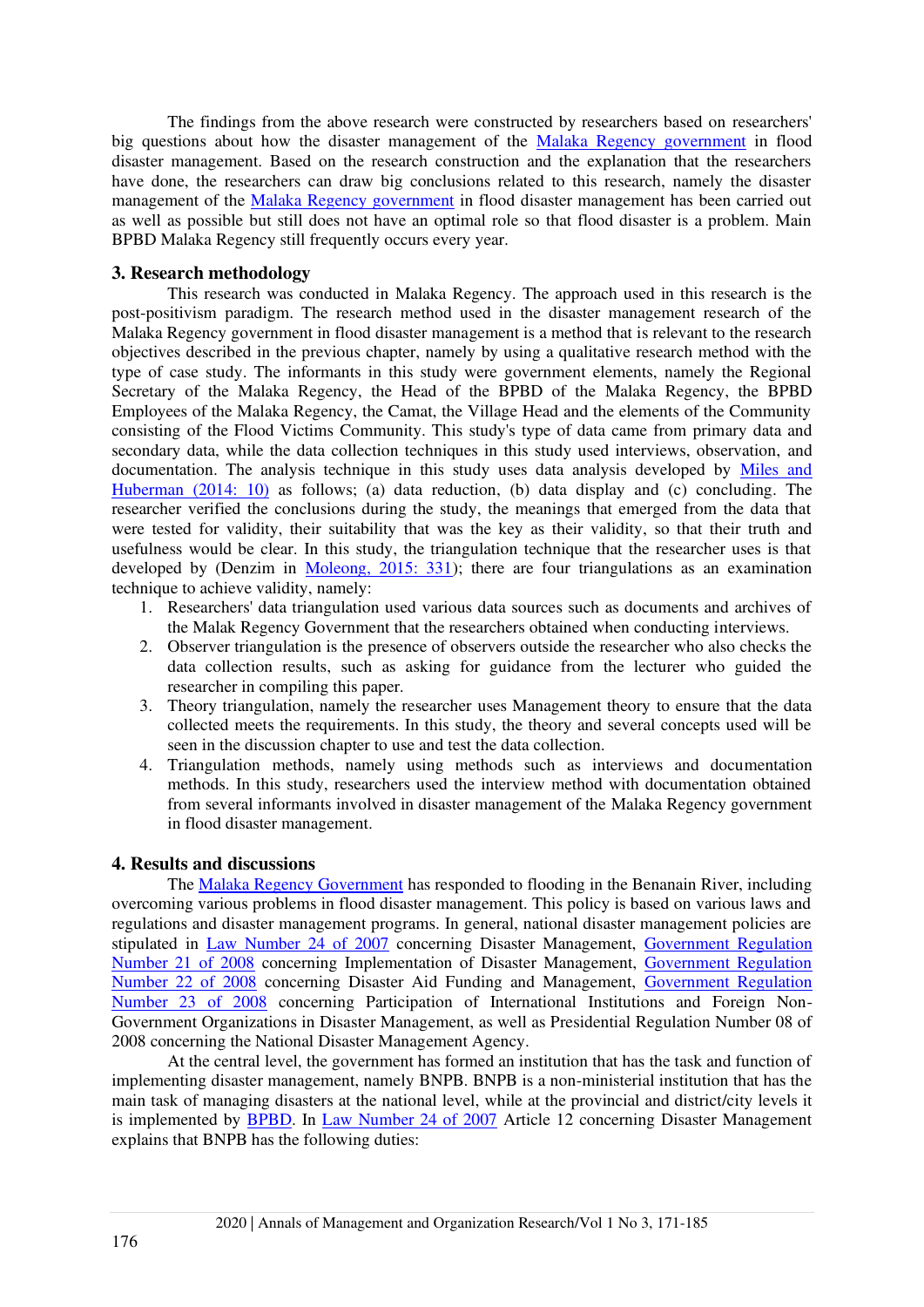The findings from the above research were constructed by researchers based on researchers' big questions about how the disaster management of the [Malaka Regency government](#page-14-1) in flood disaster management. Based on the research construction and the explanation that the researchers have done, the researchers can draw big conclusions related to this research, namely the disaster management of the [Malaka Regency government](#page-14-1) in flood disaster management has been carried out as well as possible but still does not have an optimal role so that flood disaster is a problem. Main BPBD Malaka Regency still frequently occurs every year.

## **3. Research methodology**

This research was conducted in Malaka Regency. The approach used in this research is the post-positivism paradigm. The research method used in the disaster management research of the Malaka Regency government in flood disaster management is a method that is relevant to the research objectives described in the previous chapter, namely by using a qualitative research method with the type of case study. The informants in this study were government elements, namely the Regional Secretary of the Malaka Regency, the Head of the BPBD of the Malaka Regency, the BPBD Employees of the Malaka Regency, the Camat, the Village Head and the elements of the Community consisting of the Flood Victims Community. This study's type of data came from primary data and secondary data, while the data collection techniques in this study used interviews, observation, and documentation. The analysis technique in this study uses data analysis developed by [Miles and](#page-13-9)  [Huberman \(2014: 10\)](#page-13-9) as follows; (a) data reduction, (b) data display and (c) concluding. The researcher verified the conclusions during the study, the meanings that emerged from the data that were tested for validity, their suitability that was the key as their validity, so that their truth and usefulness would be clear. In this study, the triangulation technique that the researcher uses is that developed by (Denzim in [Moleong, 2015: 331\)](#page-13-10); there are four triangulations as an examination technique to achieve validity, namely:

- 1. Researchers' data triangulation used various data sources such as documents and archives of the Malak Regency Government that the researchers obtained when conducting interviews.
- 2. Observer triangulation is the presence of observers outside the researcher who also checks the data collection results, such as asking for guidance from the lecturer who guided the researcher in compiling this paper.
- 3. Theory triangulation, namely the researcher uses Management theory to ensure that the data collected meets the requirements. In this study, the theory and several concepts used will be seen in the discussion chapter to use and test the data collection.
- 4. Triangulation methods, namely using methods such as interviews and documentation methods. In this study, researchers used the interview method with documentation obtained from several informants involved in disaster management of the Malaka Regency government in flood disaster management.

#### **4. Results and discussions**

The [Malaka Regency Government](#page-14-1) has responded to flooding in the Benanain River, including overcoming various problems in flood disaster management. This policy is based on various laws and regulations and disaster management programs. In general, national disaster management policies are stipulated in [Law Number 24 of 2007](#page-14-0) concerning Disaster Management, [Government Regulation](#page-14-2)  [Number 21 of 2008](#page-14-2) concerning Implementation of Disaster Management, [Government Regulation](#page-14-2)  [Number 22 of 2008](#page-14-2) concerning Disaster Aid Funding and Management, [Government Regulation](#page-14-2)  [Number 23 of 2008](#page-14-2) concerning Participation of International Institutions and Foreign Non-Government Organizations in Disaster Management, as well as Presidential Regulation Number 08 of 2008 concerning the National Disaster Management Agency.

At the central level, the government has formed an institution that has the task and function of implementing disaster management, namely BNPB. BNPB is a non-ministerial institution that has the main task of managing disasters at the national level, while at the provincial and district/city levels it is implemented by [BPBD.](#page-13-3) In [Law Number 24 of 2007](#page-14-0) Article 12 concerning Disaster Management explains that BNPB has the following duties: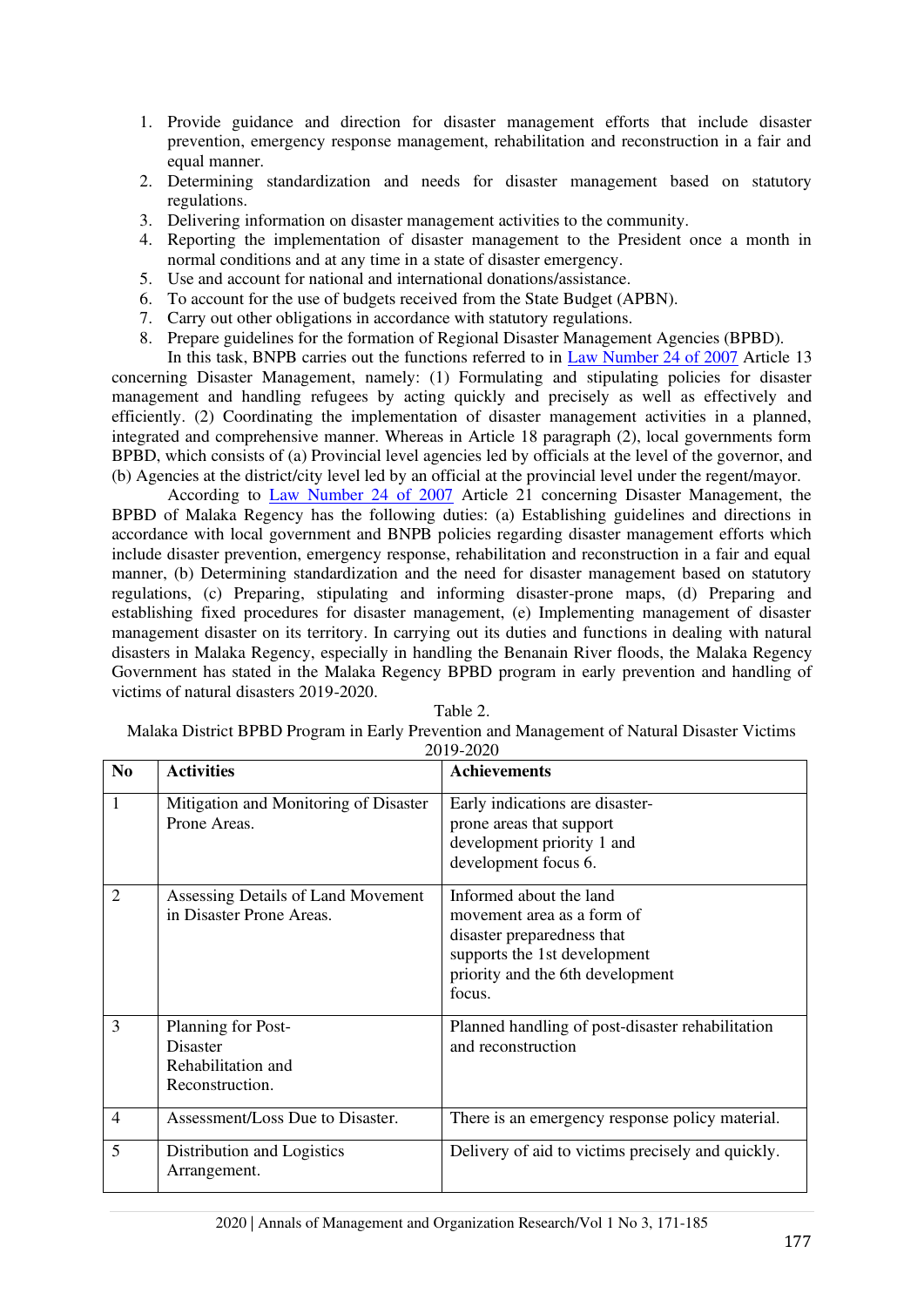- 1. Provide guidance and direction for disaster management efforts that include disaster prevention, emergency response management, rehabilitation and reconstruction in a fair and equal manner.
- 2. Determining standardization and needs for disaster management based on statutory regulations.
- 3. Delivering information on disaster management activities to the community.
- 4. Reporting the implementation of disaster management to the President once a month in normal conditions and at any time in a state of disaster emergency.
- 5. Use and account for national and international donations/assistance.
- 6. To account for the use of budgets received from the State Budget (APBN).
- 7. Carry out other obligations in accordance with statutory regulations.
- 8. Prepare guidelines for the formation of Regional Disaster Management Agencies (BPBD).

In this task, BNPB carries out the functions referred to in [Law Number 24 of 2007](#page-14-0) Article 13 concerning Disaster Management, namely: (1) Formulating and stipulating policies for disaster management and handling refugees by acting quickly and precisely as well as effectively and efficiently. (2) Coordinating the implementation of disaster management activities in a planned, integrated and comprehensive manner. Whereas in Article 18 paragraph (2), local governments form BPBD, which consists of (a) Provincial level agencies led by officials at the level of the governor, and (b) Agencies at the district/city level led by an official at the provincial level under the regent/mayor.

According to [Law Number 24 of 2007](#page-14-0) Article 21 concerning Disaster Management, the BPBD of Malaka Regency has the following duties: (a) Establishing guidelines and directions in accordance with local government and BNPB policies regarding disaster management efforts which include disaster prevention, emergency response, rehabilitation and reconstruction in a fair and equal manner, (b) Determining standardization and the need for disaster management based on statutory regulations, (c) Preparing, stipulating and informing disaster-prone maps, (d) Preparing and establishing fixed procedures for disaster management, (e) Implementing management of disaster management disaster on its territory. In carrying out its duties and functions in dealing with natural disasters in Malaka Regency, especially in handling the Benanain River floods, the Malaka Regency Government has stated in the Malaka Regency BPBD program in early prevention and handling of victims of natural disasters 2019-2020.

| ivialana District Di DD i rogram in Early I fevention and ivianagement of Fvatural Disaster Victims<br>2019-2020 |                                                                                |                                                                                                                                                                   |  |  |
|------------------------------------------------------------------------------------------------------------------|--------------------------------------------------------------------------------|-------------------------------------------------------------------------------------------------------------------------------------------------------------------|--|--|
| N <sub>0</sub>                                                                                                   | <b>Activities</b>                                                              | <b>Achievements</b>                                                                                                                                               |  |  |
| 1                                                                                                                | Mitigation and Monitoring of Disaster<br>Prone Areas.                          | Early indications are disaster-<br>prone areas that support<br>development priority 1 and<br>development focus 6.                                                 |  |  |
| $\overline{2}$                                                                                                   | Assessing Details of Land Movement<br>in Disaster Prone Areas.                 | Informed about the land<br>movement area as a form of<br>disaster preparedness that<br>supports the 1st development<br>priority and the 6th development<br>focus. |  |  |
| 3                                                                                                                | Planning for Post-<br><b>Disaster</b><br>Rehabilitation and<br>Reconstruction. | Planned handling of post-disaster rehabilitation<br>and reconstruction                                                                                            |  |  |
| $\overline{4}$                                                                                                   | Assessment/Loss Due to Disaster.                                               | There is an emergency response policy material.                                                                                                                   |  |  |
| 5                                                                                                                | Distribution and Logistics<br>Arrangement.                                     | Delivery of aid to victims precisely and quickly.                                                                                                                 |  |  |

Table 2.

Malaka District BPBD Program in Early Prevention and Management of Natural Disaster Victims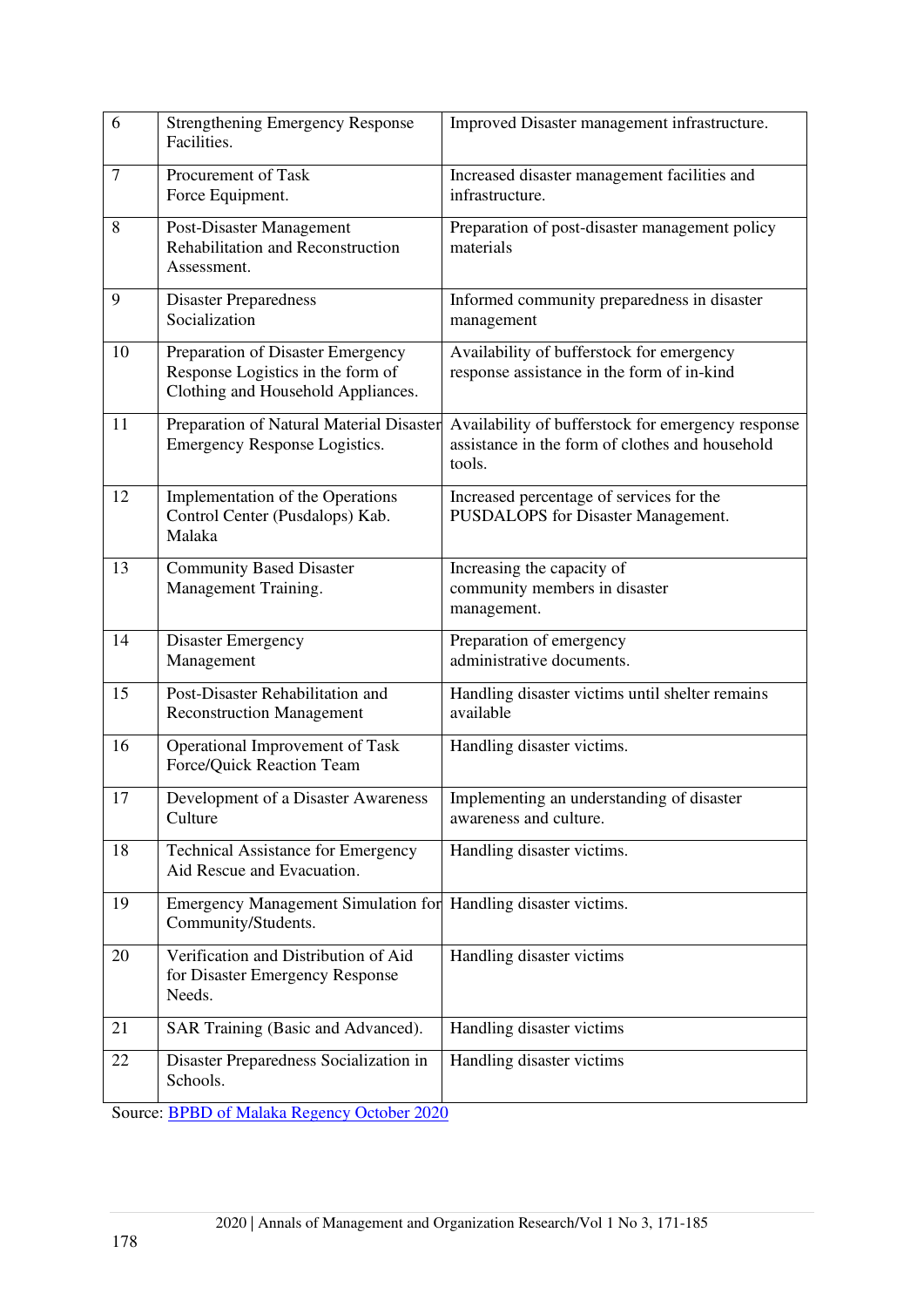| 6  | <b>Strengthening Emergency Response</b><br>Facilities.                                                       | Improved Disaster management infrastructure.                                                                    |
|----|--------------------------------------------------------------------------------------------------------------|-----------------------------------------------------------------------------------------------------------------|
| 7  | Procurement of Task<br>Force Equipment.                                                                      | Increased disaster management facilities and<br>infrastructure.                                                 |
| 8  | Post-Disaster Management<br>Rehabilitation and Reconstruction<br>Assessment.                                 | Preparation of post-disaster management policy<br>materials                                                     |
| 9  | <b>Disaster Preparedness</b><br>Socialization                                                                | Informed community preparedness in disaster<br>management                                                       |
| 10 | Preparation of Disaster Emergency<br>Response Logistics in the form of<br>Clothing and Household Appliances. | Availability of bufferstock for emergency<br>response assistance in the form of in-kind                         |
| 11 | Preparation of Natural Material Disaster<br>Emergency Response Logistics.                                    | Availability of bufferstock for emergency response<br>assistance in the form of clothes and household<br>tools. |
| 12 | Implementation of the Operations<br>Control Center (Pusdalops) Kab.<br>Malaka                                | Increased percentage of services for the<br>PUSDALOPS for Disaster Management.                                  |
| 13 | <b>Community Based Disaster</b><br>Management Training.                                                      | Increasing the capacity of<br>community members in disaster<br>management.                                      |
| 14 | <b>Disaster Emergency</b><br>Management                                                                      | Preparation of emergency<br>administrative documents.                                                           |
| 15 | Post-Disaster Rehabilitation and<br><b>Reconstruction Management</b>                                         | Handling disaster victims until shelter remains<br>available                                                    |
| 16 | Operational Improvement of Task<br>Force/Quick Reaction Team                                                 | Handling disaster victims.                                                                                      |
| 17 | Development of a Disaster Awareness<br>Culture                                                               | Implementing an understanding of disaster<br>awareness and culture.                                             |
| 18 | <b>Technical Assistance for Emergency</b><br>Aid Rescue and Evacuation.                                      | Handling disaster victims.                                                                                      |
| 19 | <b>Emergency Management Simulation for</b><br>Community/Students.                                            | Handling disaster victims.                                                                                      |
| 20 | Verification and Distribution of Aid<br>for Disaster Emergency Response<br>Needs.                            | Handling disaster victims                                                                                       |
| 21 | SAR Training (Basic and Advanced).                                                                           | Handling disaster victims                                                                                       |
| 22 | Disaster Preparedness Socialization in<br>Schools.                                                           | Handling disaster victims                                                                                       |

Source: [BPBD of Malaka Regency October 2020](#page-13-3)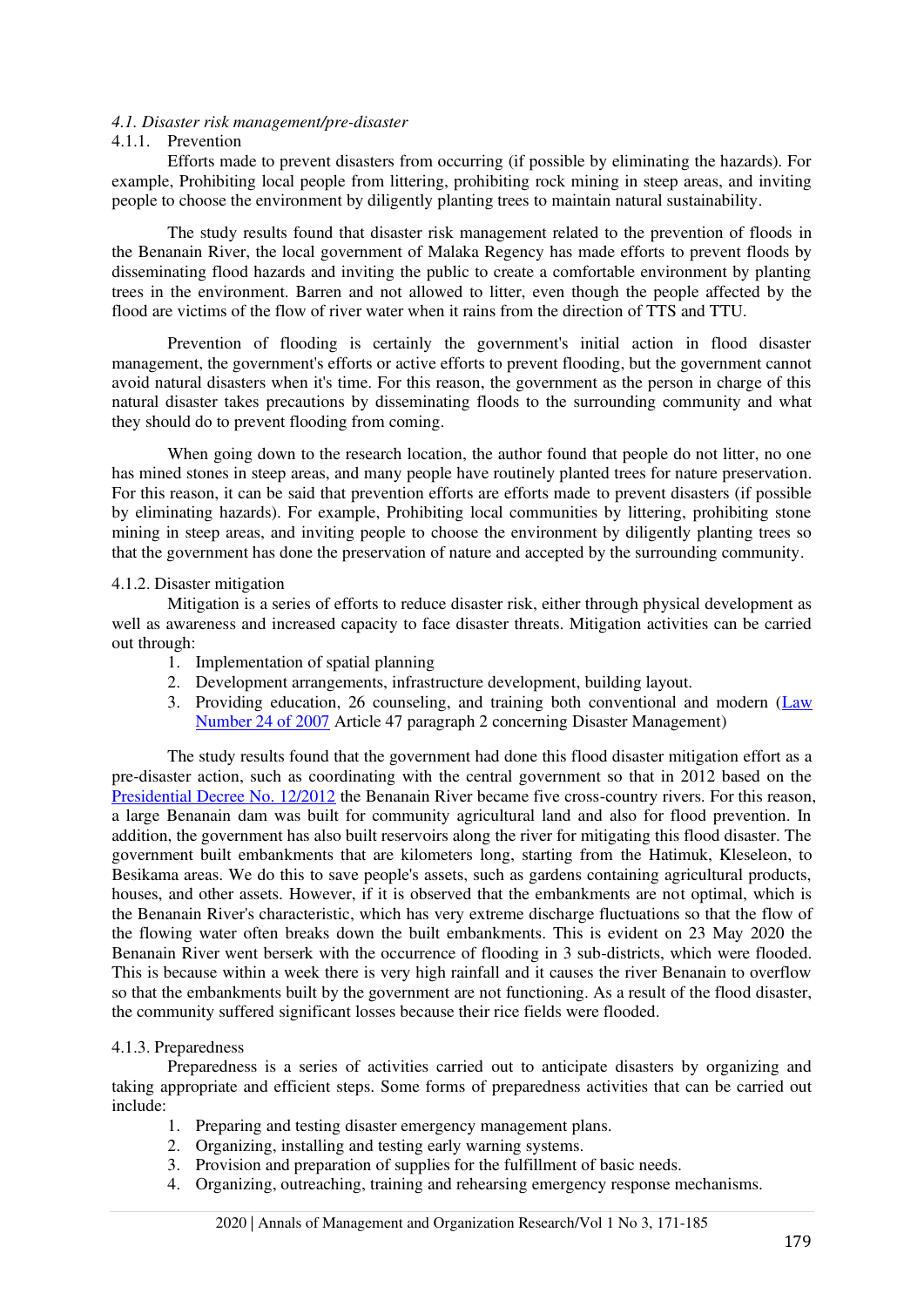#### *4.1. Disaster risk management/pre-disaster*

#### 4.1.1. Prevention

Efforts made to prevent disasters from occurring (if possible by eliminating the hazards). For example, Prohibiting local people from littering, prohibiting rock mining in steep areas, and inviting people to choose the environment by diligently planting trees to maintain natural sustainability.

The study results found that disaster risk management related to the prevention of floods in the Benanain River, the local government of Malaka Regency has made efforts to prevent floods by disseminating flood hazards and inviting the public to create a comfortable environment by planting trees in the environment. Barren and not allowed to litter, even though the people affected by the flood are victims of the flow of river water when it rains from the direction of TTS and TTU.

Prevention of flooding is certainly the government's initial action in flood disaster management, the government's efforts or active efforts to prevent flooding, but the government cannot avoid natural disasters when it's time. For this reason, the government as the person in charge of this natural disaster takes precautions by disseminating floods to the surrounding community and what they should do to prevent flooding from coming.

When going down to the research location, the author found that people do not litter, no one has mined stones in steep areas, and many people have routinely planted trees for nature preservation. For this reason, it can be said that prevention efforts are efforts made to prevent disasters (if possible by eliminating hazards). For example, Prohibiting local communities by littering, prohibiting stone mining in steep areas, and inviting people to choose the environment by diligently planting trees so that the government has done the preservation of nature and accepted by the surrounding community.

#### 4.1.2. Disaster mitigation

Mitigation is a series of efforts to reduce disaster risk, either through physical development as well as awareness and increased capacity to face disaster threats. Mitigation activities can be carried out through:

- 1. Implementation of spatial planning
- 2. Development arrangements, infrastructure development, building layout.
- 3. Providing education, 26 counseling, and training both conventional and modern [\(Law](#page-14-0)  [Number 24 of 2007](#page-14-0) Article 47 paragraph 2 concerning Disaster Management)

The study results found that the government had done this flood disaster mitigation effort as a pre-disaster action, such as coordinating with the central government so that in 2012 based on the [Presidential Decree No. 12/2012](#page-13-0) the Benanain River became five cross-country rivers. For this reason, a large Benanain dam was built for community agricultural land and also for flood prevention. In addition, the government has also built reservoirs along the river for mitigating this flood disaster. The government built embankments that are kilometers long, starting from the Hatimuk, Kleseleon, to Besikama areas. We do this to save people's assets, such as gardens containing agricultural products, houses, and other assets. However, if it is observed that the embankments are not optimal, which is the Benanain River's characteristic, which has very extreme discharge fluctuations so that the flow of the flowing water often breaks down the built embankments. This is evident on 23 May 2020 the Benanain River went berserk with the occurrence of flooding in 3 sub-districts, which were flooded. This is because within a week there is very high rainfall and it causes the river Benanain to overflow so that the embankments built by the government are not functioning. As a result of the flood disaster, the community suffered significant losses because their rice fields were flooded.

#### 4.1.3. Preparedness

Preparedness is a series of activities carried out to anticipate disasters by organizing and taking appropriate and efficient steps. Some forms of preparedness activities that can be carried out include:

- 1. Preparing and testing disaster emergency management plans.
- 2. Organizing, installing and testing early warning systems.
- 3. Provision and preparation of supplies for the fulfillment of basic needs.
- 4. Organizing, outreaching, training and rehearsing emergency response mechanisms.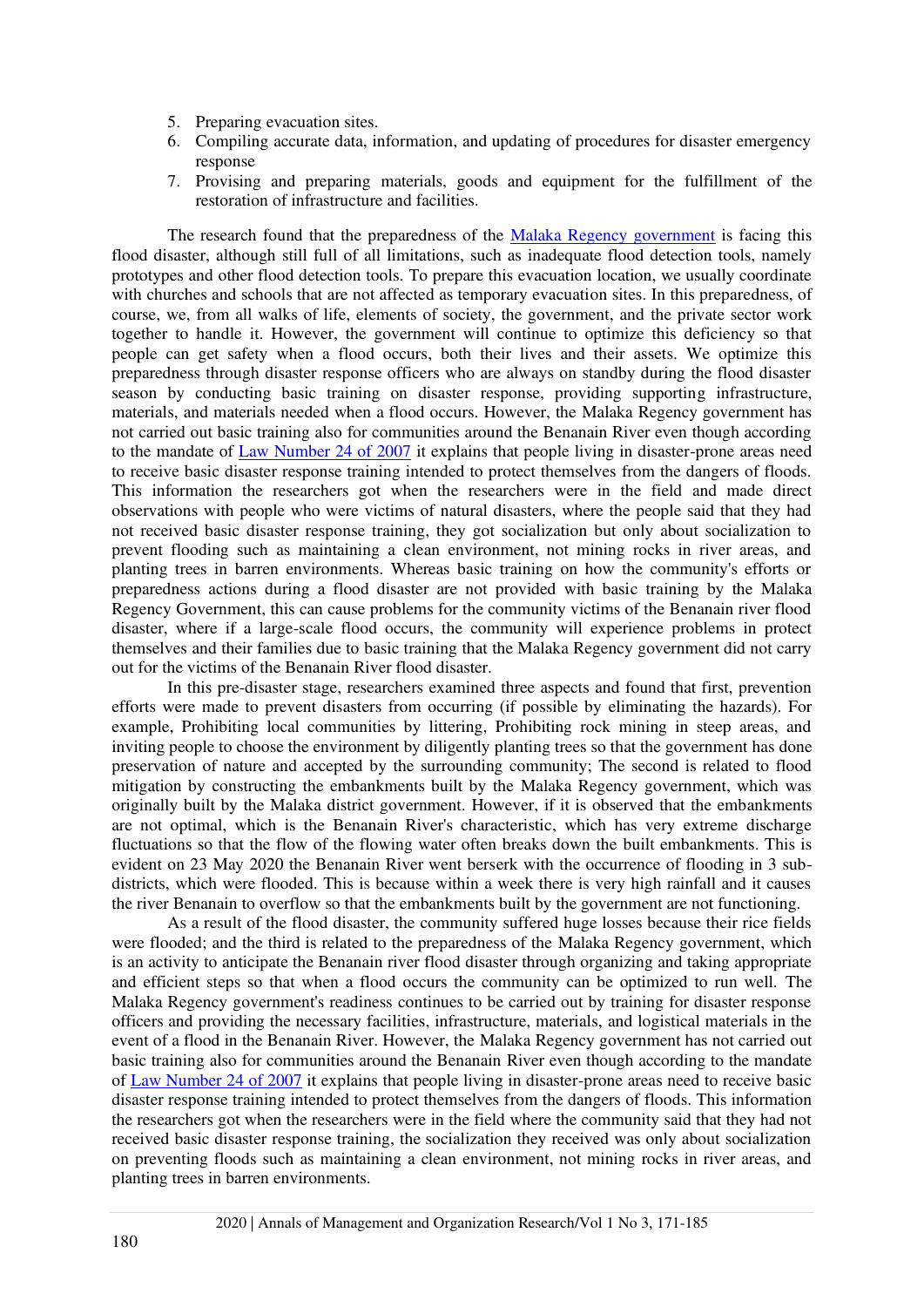- 5. Preparing evacuation sites.
- 6. Compiling accurate data, information, and updating of procedures for disaster emergency response
- 7. Provising and preparing materials, goods and equipment for the fulfillment of the restoration of infrastructure and facilities.

The research found that the preparedness of the [Malaka Regency government](#page-14-1) is facing this flood disaster, although still full of all limitations, such as inadequate flood detection tools, namely prototypes and other flood detection tools. To prepare this evacuation location, we usually coordinate with churches and schools that are not affected as temporary evacuation sites. In this preparedness, of course, we, from all walks of life, elements of society, the government, and the private sector work together to handle it. However, the government will continue to optimize this deficiency so that people can get safety when a flood occurs, both their lives and their assets. We optimize this preparedness through disaster response officers who are always on standby during the flood disaster season by conducting basic training on disaster response, providing supporting infrastructure, materials, and materials needed when a flood occurs. However, the Malaka Regency government has not carried out basic training also for communities around the Benanain River even though according to the mandate of [Law Number 24 of 2007](#page-14-0) it explains that people living in disaster-prone areas need to receive basic disaster response training intended to protect themselves from the dangers of floods. This information the researchers got when the researchers were in the field and made direct observations with people who were victims of natural disasters, where the people said that they had not received basic disaster response training, they got socialization but only about socialization to prevent flooding such as maintaining a clean environment, not mining rocks in river areas, and planting trees in barren environments. Whereas basic training on how the community's efforts or preparedness actions during a flood disaster are not provided with basic training by the Malaka Regency Government, this can cause problems for the community victims of the Benanain river flood disaster, where if a large-scale flood occurs, the community will experience problems in protect themselves and their families due to basic training that the Malaka Regency government did not carry out for the victims of the Benanain River flood disaster.

In this pre-disaster stage, researchers examined three aspects and found that first, prevention efforts were made to prevent disasters from occurring (if possible by eliminating the hazards). For example, Prohibiting local communities by littering, Prohibiting rock mining in steep areas, and inviting people to choose the environment by diligently planting trees so that the government has done preservation of nature and accepted by the surrounding community; The second is related to flood mitigation by constructing the embankments built by the Malaka Regency government, which was originally built by the Malaka district government. However, if it is observed that the embankments are not optimal, which is the Benanain River's characteristic, which has very extreme discharge fluctuations so that the flow of the flowing water often breaks down the built embankments. This is evident on 23 May 2020 the Benanain River went berserk with the occurrence of flooding in 3 subdistricts, which were flooded. This is because within a week there is very high rainfall and it causes the river Benanain to overflow so that the embankments built by the government are not functioning.

As a result of the flood disaster, the community suffered huge losses because their rice fields were flooded; and the third is related to the preparedness of the Malaka Regency government, which is an activity to anticipate the Benanain river flood disaster through organizing and taking appropriate and efficient steps so that when a flood occurs the community can be optimized to run well. The Malaka Regency government's readiness continues to be carried out by training for disaster response officers and providing the necessary facilities, infrastructure, materials, and logistical materials in the event of a flood in the Benanain River. However, the Malaka Regency government has not carried out basic training also for communities around the Benanain River even though according to the mandate of [Law Number 24 of 2007](#page-14-0) it explains that people living in disaster-prone areas need to receive basic disaster response training intended to protect themselves from the dangers of floods. This information the researchers got when the researchers were in the field where the community said that they had not received basic disaster response training, the socialization they received was only about socialization on preventing floods such as maintaining a clean environment, not mining rocks in river areas, and planting trees in barren environments.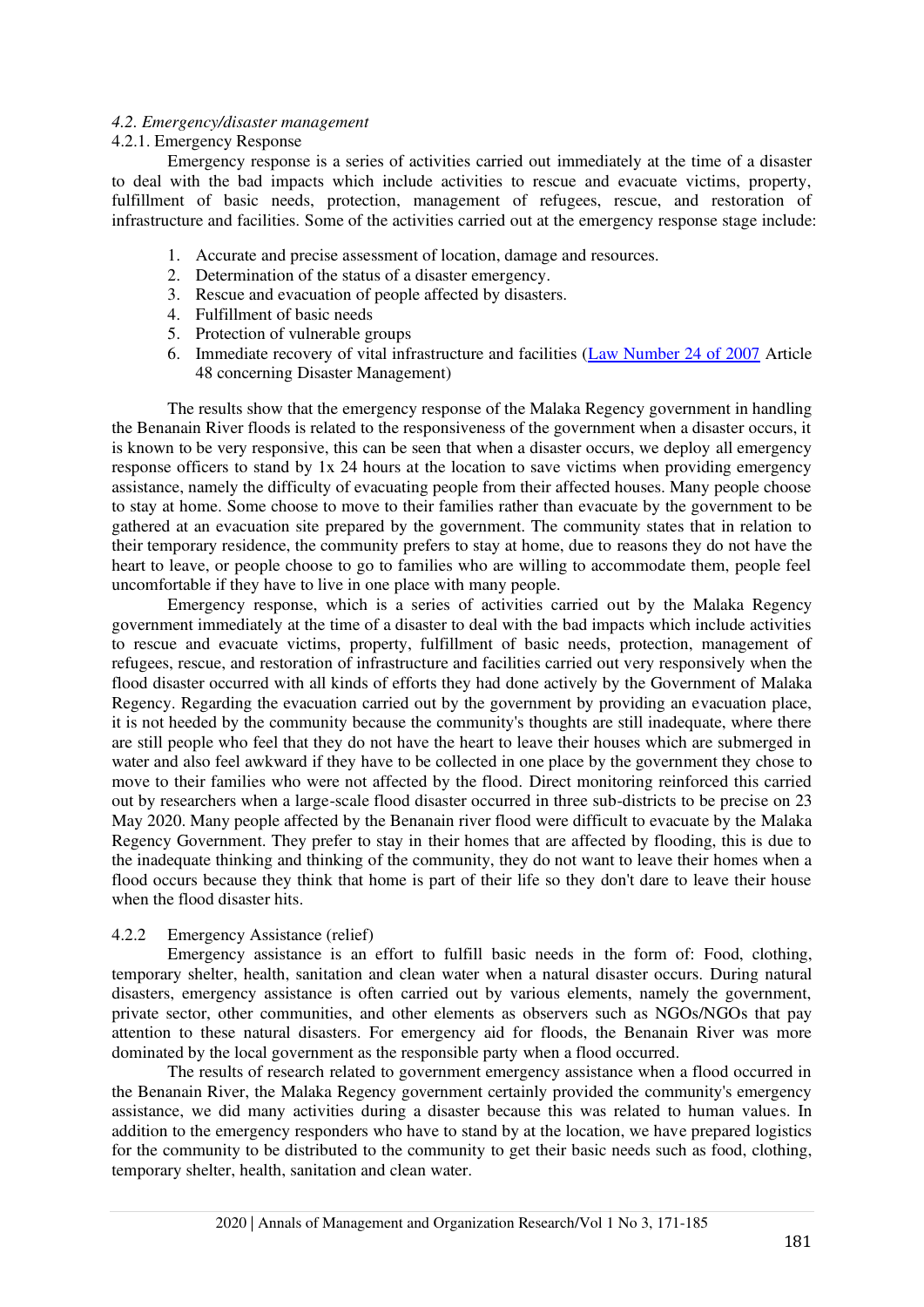#### *4.2. Emergency/disaster management*

#### 4.2.1. Emergency Response

Emergency response is a series of activities carried out immediately at the time of a disaster to deal with the bad impacts which include activities to rescue and evacuate victims, property, fulfillment of basic needs, protection, management of refugees, rescue, and restoration of infrastructure and facilities. Some of the activities carried out at the emergency response stage include:

- 1. Accurate and precise assessment of location, damage and resources.
- 2. Determination of the status of a disaster emergency.
- 3. Rescue and evacuation of people affected by disasters.
- 4. Fulfillment of basic needs
- 5. Protection of vulnerable groups
- 6. Immediate recovery of vital infrastructure and facilities [\(Law Number 24 of 2007](#page-14-0) Article 48 concerning Disaster Management)

The results show that the emergency response of the Malaka Regency government in handling the Benanain River floods is related to the responsiveness of the government when a disaster occurs, it is known to be very responsive, this can be seen that when a disaster occurs, we deploy all emergency response officers to stand by 1x 24 hours at the location to save victims when providing emergency assistance, namely the difficulty of evacuating people from their affected houses. Many people choose to stay at home. Some choose to move to their families rather than evacuate by the government to be gathered at an evacuation site prepared by the government. The community states that in relation to their temporary residence, the community prefers to stay at home, due to reasons they do not have the heart to leave, or people choose to go to families who are willing to accommodate them, people feel uncomfortable if they have to live in one place with many people.

Emergency response, which is a series of activities carried out by the Malaka Regency government immediately at the time of a disaster to deal with the bad impacts which include activities to rescue and evacuate victims, property, fulfillment of basic needs, protection, management of refugees, rescue, and restoration of infrastructure and facilities carried out very responsively when the flood disaster occurred with all kinds of efforts they had done actively by the Government of Malaka Regency. Regarding the evacuation carried out by the government by providing an evacuation place, it is not heeded by the community because the community's thoughts are still inadequate, where there are still people who feel that they do not have the heart to leave their houses which are submerged in water and also feel awkward if they have to be collected in one place by the government they chose to move to their families who were not affected by the flood. Direct monitoring reinforced this carried out by researchers when a large-scale flood disaster occurred in three sub-districts to be precise on 23 May 2020. Many people affected by the Benanain river flood were difficult to evacuate by the Malaka Regency Government. They prefer to stay in their homes that are affected by flooding, this is due to the inadequate thinking and thinking of the community, they do not want to leave their homes when a flood occurs because they think that home is part of their life so they don't dare to leave their house when the flood disaster hits.

#### 4.2.2 Emergency Assistance (relief)

Emergency assistance is an effort to fulfill basic needs in the form of: Food, clothing, temporary shelter, health, sanitation and clean water when a natural disaster occurs. During natural disasters, emergency assistance is often carried out by various elements, namely the government, private sector, other communities, and other elements as observers such as NGOs/NGOs that pay attention to these natural disasters. For emergency aid for floods, the Benanain River was more dominated by the local government as the responsible party when a flood occurred.

The results of research related to government emergency assistance when a flood occurred in the Benanain River, the Malaka Regency government certainly provided the community's emergency assistance, we did many activities during a disaster because this was related to human values. In addition to the emergency responders who have to stand by at the location, we have prepared logistics for the community to be distributed to the community to get their basic needs such as food, clothing, temporary shelter, health, sanitation and clean water.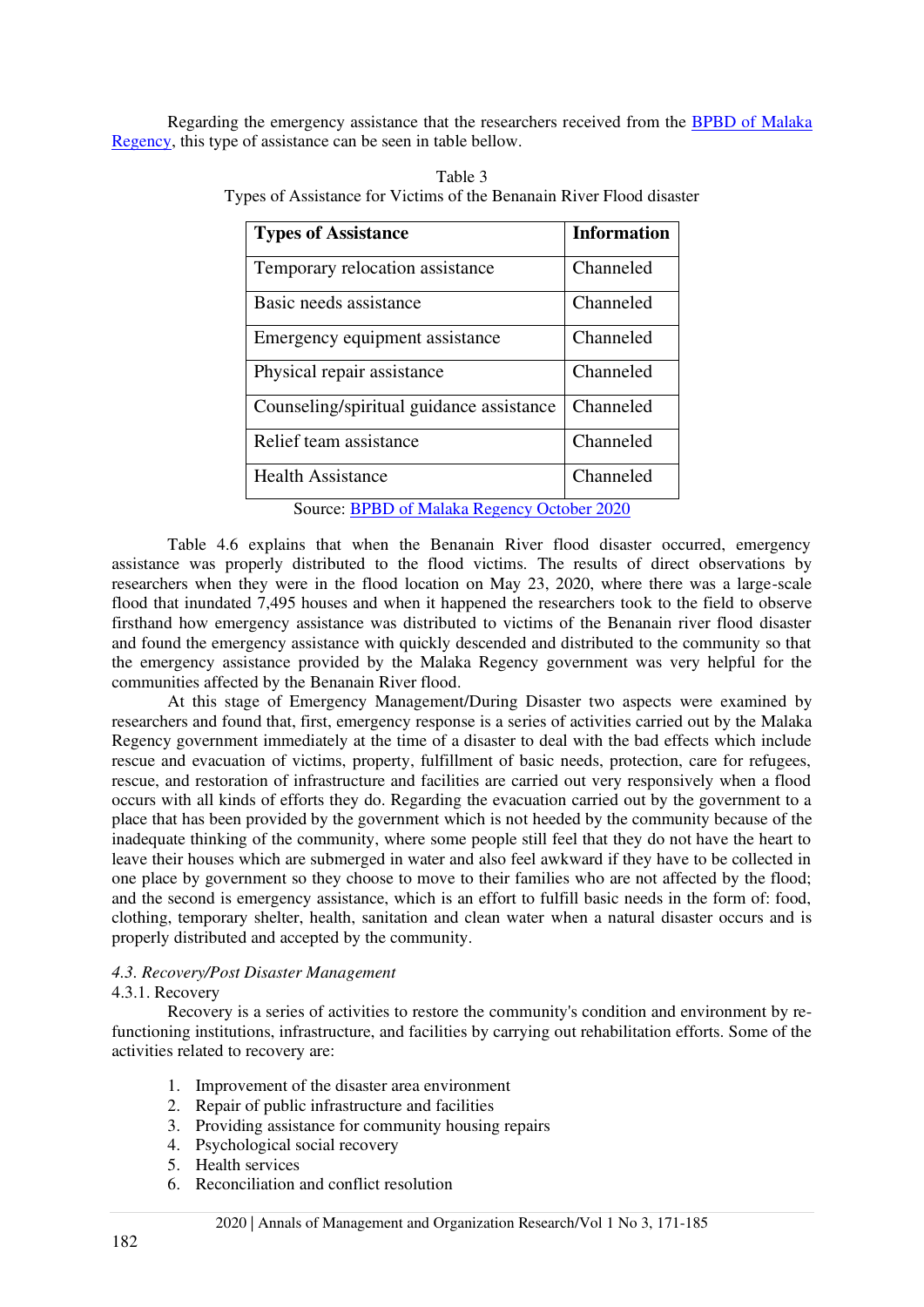Regarding the emergency assistance that the researchers received from the [BPBD of Malaka](#page-13-3)  [Regency,](#page-13-3) this type of assistance can be seen in table bellow.

| Table 3                                                              |
|----------------------------------------------------------------------|
| Types of Assistance for Victims of the Benanain River Flood disaster |

| <b>Types of Assistance</b>                  | <b>Information</b> |  |
|---------------------------------------------|--------------------|--|
| Temporary relocation assistance             | Channeled          |  |
| Basic needs assistance                      | Channeled          |  |
| Emergency equipment assistance              | Channeled          |  |
| Physical repair assistance                  | Channeled          |  |
| Counseling/spiritual guidance assistance    | Channeled          |  |
| Relief team assistance                      | Channeled          |  |
| <b>Health Assistance</b>                    | Channeled          |  |
| Source: BPBD of Malaka Regency October 2020 |                    |  |

Table 4.6 explains that when the Benanain River flood disaster occurred, emergency assistance was properly distributed to the flood victims. The results of direct observations by researchers when they were in the flood location on May 23, 2020, where there was a large-scale flood that inundated 7,495 houses and when it happened the researchers took to the field to observe firsthand how emergency assistance was distributed to victims of the Benanain river flood disaster and found the emergency assistance with quickly descended and distributed to the community so that the emergency assistance provided by the Malaka Regency government was very helpful for the communities affected by the Benanain River flood.

At this stage of Emergency Management/During Disaster two aspects were examined by researchers and found that, first, emergency response is a series of activities carried out by the Malaka Regency government immediately at the time of a disaster to deal with the bad effects which include rescue and evacuation of victims, property, fulfillment of basic needs, protection, care for refugees, rescue, and restoration of infrastructure and facilities are carried out very responsively when a flood occurs with all kinds of efforts they do. Regarding the evacuation carried out by the government to a place that has been provided by the government which is not heeded by the community because of the inadequate thinking of the community, where some people still feel that they do not have the heart to leave their houses which are submerged in water and also feel awkward if they have to be collected in one place by government so they choose to move to their families who are not affected by the flood; and the second is emergency assistance, which is an effort to fulfill basic needs in the form of: food, clothing, temporary shelter, health, sanitation and clean water when a natural disaster occurs and is properly distributed and accepted by the community.

## *4.3. Recovery/Post Disaster Management*

#### 4.3.1. Recovery

Recovery is a series of activities to restore the community's condition and environment by refunctioning institutions, infrastructure, and facilities by carrying out rehabilitation efforts. Some of the activities related to recovery are:

- 1. Improvement of the disaster area environment
- 2. Repair of public infrastructure and facilities
- 3. Providing assistance for community housing repairs
- 4. Psychological social recovery
- 5. Health services
- 6. Reconciliation and conflict resolution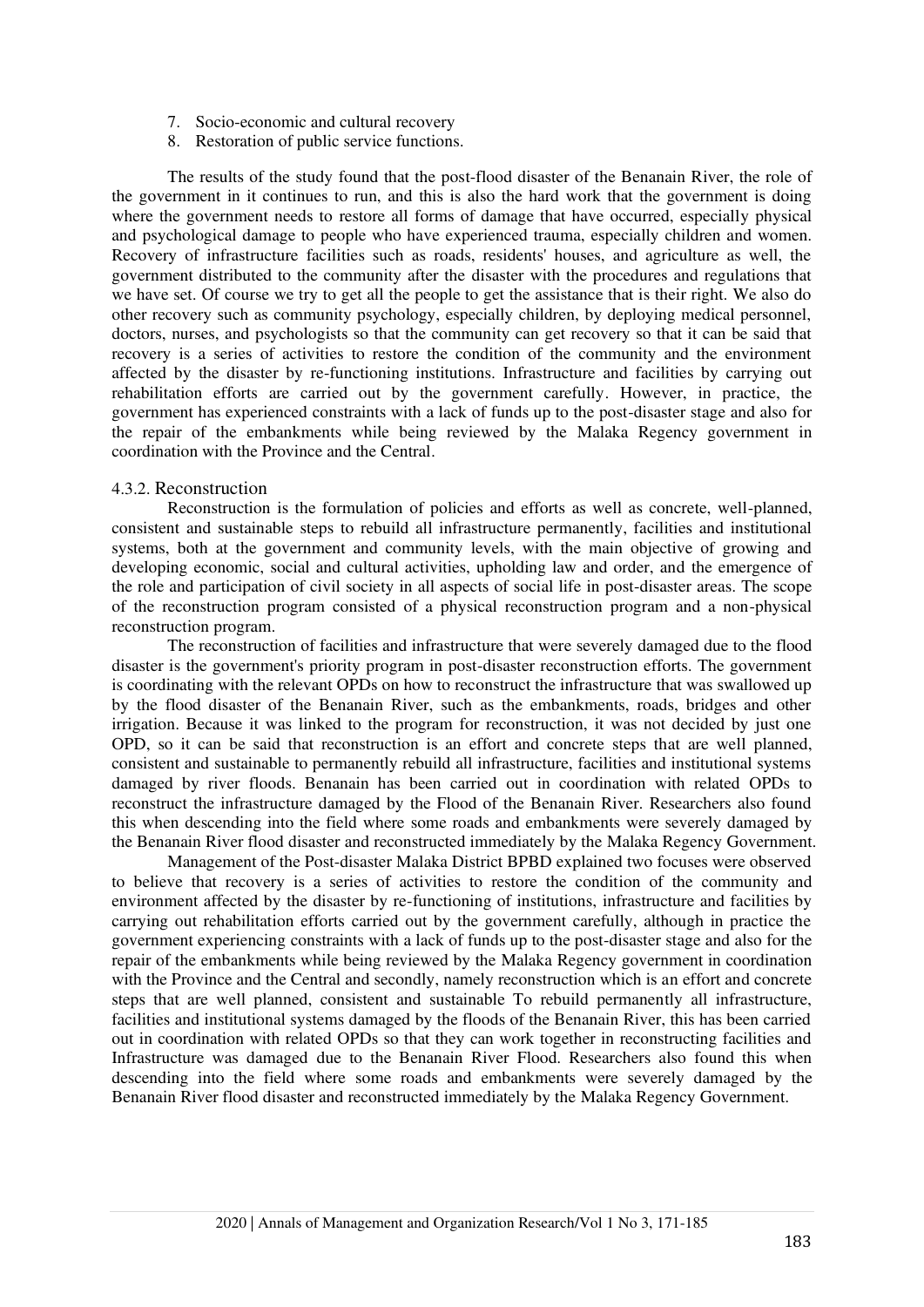- 7. Socio-economic and cultural recovery
- 8. Restoration of public service functions.

The results of the study found that the post-flood disaster of the Benanain River, the role of the government in it continues to run, and this is also the hard work that the government is doing where the government needs to restore all forms of damage that have occurred, especially physical and psychological damage to people who have experienced trauma, especially children and women. Recovery of infrastructure facilities such as roads, residents' houses, and agriculture as well, the government distributed to the community after the disaster with the procedures and regulations that we have set. Of course we try to get all the people to get the assistance that is their right. We also do other recovery such as community psychology, especially children, by deploying medical personnel, doctors, nurses, and psychologists so that the community can get recovery so that it can be said that recovery is a series of activities to restore the condition of the community and the environment affected by the disaster by re-functioning institutions. Infrastructure and facilities by carrying out rehabilitation efforts are carried out by the government carefully. However, in practice, the government has experienced constraints with a lack of funds up to the post-disaster stage and also for the repair of the embankments while being reviewed by the Malaka Regency government in coordination with the Province and the Central.

#### 4.3.2. Reconstruction

Reconstruction is the formulation of policies and efforts as well as concrete, well-planned, consistent and sustainable steps to rebuild all infrastructure permanently, facilities and institutional systems, both at the government and community levels, with the main objective of growing and developing economic, social and cultural activities, upholding law and order, and the emergence of the role and participation of civil society in all aspects of social life in post-disaster areas. The scope of the reconstruction program consisted of a physical reconstruction program and a non-physical reconstruction program.

The reconstruction of facilities and infrastructure that were severely damaged due to the flood disaster is the government's priority program in post-disaster reconstruction efforts. The government is coordinating with the relevant OPDs on how to reconstruct the infrastructure that was swallowed up by the flood disaster of the Benanain River, such as the embankments, roads, bridges and other irrigation. Because it was linked to the program for reconstruction, it was not decided by just one OPD, so it can be said that reconstruction is an effort and concrete steps that are well planned, consistent and sustainable to permanently rebuild all infrastructure, facilities and institutional systems damaged by river floods. Benanain has been carried out in coordination with related OPDs to reconstruct the infrastructure damaged by the Flood of the Benanain River. Researchers also found this when descending into the field where some roads and embankments were severely damaged by the Benanain River flood disaster and reconstructed immediately by the Malaka Regency Government.

Management of the Post-disaster Malaka District BPBD explained two focuses were observed to believe that recovery is a series of activities to restore the condition of the community and environment affected by the disaster by re-functioning of institutions, infrastructure and facilities by carrying out rehabilitation efforts carried out by the government carefully, although in practice the government experiencing constraints with a lack of funds up to the post-disaster stage and also for the repair of the embankments while being reviewed by the Malaka Regency government in coordination with the Province and the Central and secondly, namely reconstruction which is an effort and concrete steps that are well planned, consistent and sustainable To rebuild permanently all infrastructure, facilities and institutional systems damaged by the floods of the Benanain River, this has been carried out in coordination with related OPDs so that they can work together in reconstructing facilities and Infrastructure was damaged due to the Benanain River Flood. Researchers also found this when descending into the field where some roads and embankments were severely damaged by the Benanain River flood disaster and reconstructed immediately by the Malaka Regency Government.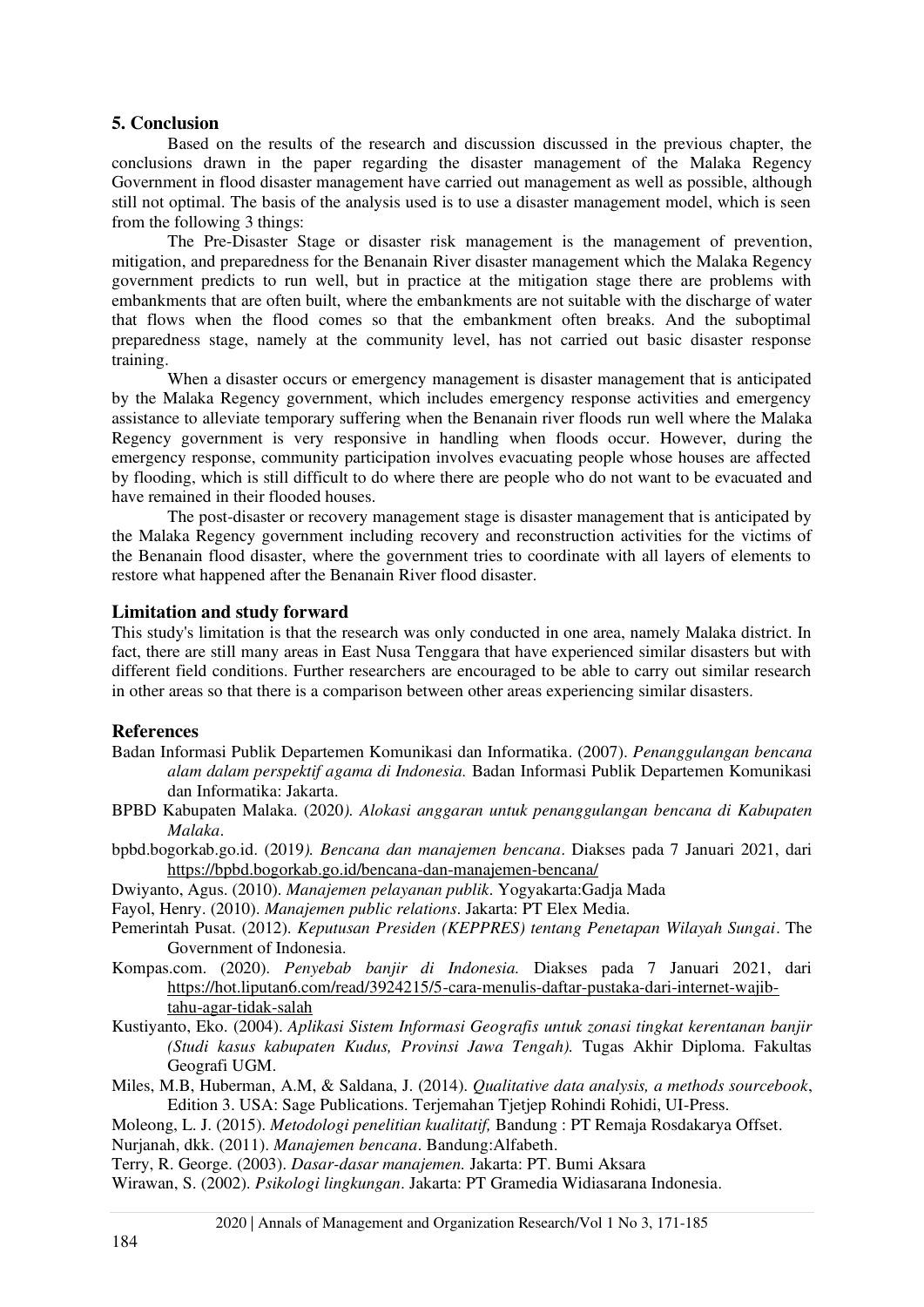## **5. Conclusion**

Based on the results of the research and discussion discussed in the previous chapter, the conclusions drawn in the paper regarding the disaster management of the Malaka Regency Government in flood disaster management have carried out management as well as possible, although still not optimal. The basis of the analysis used is to use a disaster management model, which is seen from the following 3 things:

The Pre-Disaster Stage or disaster risk management is the management of prevention, mitigation, and preparedness for the Benanain River disaster management which the Malaka Regency government predicts to run well, but in practice at the mitigation stage there are problems with embankments that are often built, where the embankments are not suitable with the discharge of water that flows when the flood comes so that the embankment often breaks. And the suboptimal preparedness stage, namely at the community level, has not carried out basic disaster response training.

When a disaster occurs or emergency management is disaster management that is anticipated by the Malaka Regency government, which includes emergency response activities and emergency assistance to alleviate temporary suffering when the Benanain river floods run well where the Malaka Regency government is very responsive in handling when floods occur. However, during the emergency response, community participation involves evacuating people whose houses are affected by flooding, which is still difficult to do where there are people who do not want to be evacuated and have remained in their flooded houses.

The post-disaster or recovery management stage is disaster management that is anticipated by the Malaka Regency government including recovery and reconstruction activities for the victims of the Benanain flood disaster, where the government tries to coordinate with all layers of elements to restore what happened after the Benanain River flood disaster.

## **Limitation and study forward**

This study's limitation is that the research was only conducted in one area, namely Malaka district. In fact, there are still many areas in East Nusa Tenggara that have experienced similar disasters but with different field conditions. Further researchers are encouraged to be able to carry out similar research in other areas so that there is a comparison between other areas experiencing similar disasters.

## **References**

- <span id="page-13-2"></span>Badan Informasi Publik Departemen Komunikasi dan Informatika. (2007). *Penanggulangan bencana alam dalam perspektif agama di Indonesia.* Badan Informasi Publik Departemen Komunikasi dan Informatika: Jakarta.
- <span id="page-13-3"></span>BPBD Kabupaten Malaka. (2020*). Alokasi anggaran untuk penanggulangan bencana di Kabupaten Malaka*.
- bpbd.bogorkab.go.id. (2019*). Bencana dan manajemen bencana*. Diakses pada 7 Januari 2021, dari <https://bpbd.bogorkab.go.id/bencana-dan-manajemen-bencana/>
- <span id="page-13-6"></span>Dwiyanto, Agus. (2010). *Manajemen pelayanan publik*. Yogyakarta:Gadja Mada
- <span id="page-13-5"></span>Fayol, Henry. (2010). *Manajemen public relations*. Jakarta: PT Elex Media.
- <span id="page-13-0"></span>Pemerintah Pusat. (2012). *Keputusan Presiden (KEPPRES) tentang Penetapan Wilayah Sungai*. The Government of Indonesia.
- Kompas.com. (2020). *Penyebab banjir di Indonesia.* Diakses pada 7 Januari 2021, dari [https://hot.liputan6.com/read/3924215/5-cara-menulis-daftar-pustaka-dari-internet-wajib](https://hot.liputan6.com/read/3924215/5-cara-menulis-daftar-pustaka-dari-internet-wajib-tahu-agar-tidak-salah)[tahu-agar-tidak-salah](https://hot.liputan6.com/read/3924215/5-cara-menulis-daftar-pustaka-dari-internet-wajib-tahu-agar-tidak-salah)
- <span id="page-13-1"></span>Kustiyanto, Eko. (2004). *Aplikasi Sistem Informasi Geografis untuk zonasi tingkat kerentanan banjir (Studi kasus kabupaten Kudus, Provinsi Jawa Tengah).* Tugas Akhir Diploma. Fakultas Geografi UGM.
- <span id="page-13-9"></span>Miles, M.B, Huberman, A.M, & Saldana, J. (2014). *Qualitative data analysis, a methods sourcebook*, Edition 3. USA: Sage Publications. Terjemahan Tjetjep Rohindi Rohidi, UI-Press.
- <span id="page-13-10"></span>Moleong, L. J. (2015). *Metodologi penelitian kualitatif,* Bandung : PT Remaja Rosdakarya Offset.
- <span id="page-13-7"></span>Nurjanah, dkk. (2011). *Manajemen bencana*. Bandung:Alfabeth.
- <span id="page-13-4"></span>Terry, R. George. (2003). *Dasar-dasar manajemen.* Jakarta: PT. Bumi Aksara
- <span id="page-13-8"></span>Wirawan, S. (2002). *Psikologi lingkungan*. Jakarta: PT Gramedia Widiasarana Indonesia.